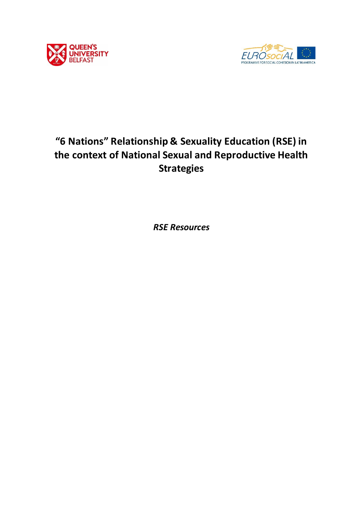



# **"6 Nations" Relationship & Sexuality Education (RSE) in the context of National Sexual and Reproductive Health Strategies**

*RSE Resources*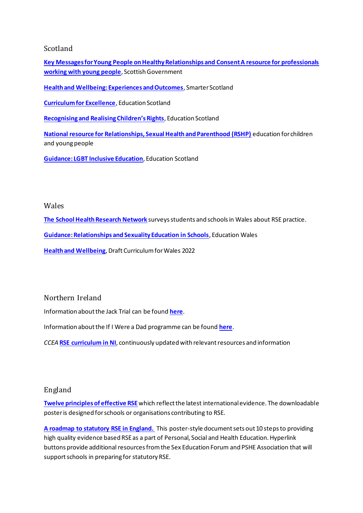## Scotland

**[Key Messages for Young People on Healthy Relationships and Consent A resource for professionals](https://www.gov.scot/publications/key-messages-young-people-healthy-relationships-consent-resource-professionals-working-young-people/)  [working with young people](https://www.gov.scot/publications/key-messages-young-people-healthy-relationships-consent-resource-professionals-working-young-people/)**, Scottish Government

**[Health and Wellbeing: Experiences and Outcomes](https://education.gov.scot/Documents/health-and-wellbeing-eo.pdf)**, Smarter Scotland

**[Curriculum for Excellence](https://education.gov.scot/improvement/documents/cfestatement.pdf)**, Education Scotland

**[Recognising and Realising Children's Rights](https://education.gov.scot/improvement/Documents/inc50participant-booklet.pdf)**, Education Scotland

**[National resource for Relationships, Sexual Health and Parenthood \(RSHP\)](https://rshp.scot/)** education for children and young people

**[Guidance: LGBT Inclusive Education](https://www.gov.scot/publications/lgbt-inclusive-education-guidance-to-education-authorities-may-2019/)**, Education Scotland

#### Wales

**[The School Health Research Network](http://www.shrn.org.uk/)** surveys students and schools in Wales about RSE practice.

**[Guidance: Relationships and Sexuality Education in Schools](https://gov.wales/sites/default/files/consultations/2019-02/relationships-and-sexuality-education-in-schools-guidance.pdf)**, Education Wales

**[Health and Wellbeing](https://hwb.gov.wales/draft-curriculum-for-wales-2022/health-and-well-being)**, Draft Curriculum for Wales 2022

Northern Ireland

Information about the Jack Trial can be found **[here](https://cmst4.qub.ac.uk/terminalfour/page/content)**.

Information about the If I Were a Dad programme can be found **[here](https://cmst4.qub.ac.uk/terminalfour/page/content)**.

*CCEA* **[RSE curriculum in NI](http://ccea.org.uk/curriculum/rse)**, continuously updated with relevant resources and information

## England

**[Twelve principles of effective RSE](https://cmst4.qub.ac.uk/terminalfour/preview/15/en/272728/%20https:/www.sexeducationforum.org.uk/resources/advice-guidance/principles-good-rse)** which reflect the latest international evidence. The downloadable poster is designed for schools or organisations contributing to RSE.

**[A roadmap to statutory RSE in England.](https://www.sexeducationforum.org.uk/resources/advice-guidance/roadmap-statutory-rse-0)** This poster-style document sets out 10 steps to providing high quality evidence based RSE as a part of Personal, Social and Health Education. Hyperlink buttons provide additional resources from the Sex Education Forum and PSHE Association that will support schools in preparing for statutory RSE.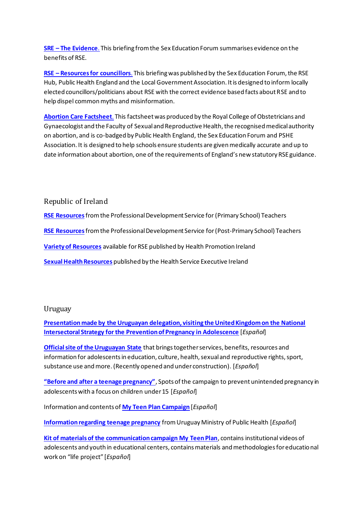**[SRE](https://www.sexeducationforum.org.uk/resources/evidence/sre-evidence) – [The Evidence](https://www.sexeducationforum.org.uk/resources/evidence/sre-evidence)**. This briefing from the Sex Education Forum summarises evidence on the benefits of RSE.

**[RSE](https://www.local.gov.uk/resources-councillors-supporting-relationship-sex-education-rse) – [Resources for councillors](https://www.local.gov.uk/resources-councillors-supporting-relationship-sex-education-rse)**. This briefing was published by the Sex Education Forum, the RSE Hub, Public Health England and the Local Government Association. It is designed to inform locally elected councillors/politicians about RSE with the correct evidence based facts about RSE and to help dispel common myths and misinformation.

**[Abortion Care Factsheet](https://www.rcog.org.uk/en/news/rcogfsrh-launch-abortion-care-resource-for-secondary-schools/)**. This factsheet was produced by the Royal College of Obstetricians and Gynaecologist and the Faculty of Sexual and Reproductive Health, the recognised medical authority on abortion, and is co-badged by Public Health England, the Sex Education Forum and PSHE Association. It is designed to help schools ensure students are given medically accurate and up to date information about abortion, one of the requirements of England's new statutory RSE guidance.

Republic of Ireland

**[RSE Resources](https://pdst.ie/node/811)**from the Professional Development Service for (Primary School) Teachers

**[RSE Resources](https://sphe.ie/resources.aspx)**from the Professional Development Service for (Post-Primary School) Teachers

**[Variety of Resources](https://www.healthpromotion.ie/publication/fullListing?category=Sexual+Health&searchHSE=)** available for RSE published by Health Promotion Ireland

**[Sexual Health Resources](https://www.hse.ie/eng/health/hl/yoursexualhealth/)** published by the Health Service Executive Ireland

#### Uruguay

**[Presentation made by the Uruguayan delegation, visiting the United Kingdom on the National](https://www.gub.uy/ministerio-salud-publica/comunicacion/publicaciones/materiales-sobre-estrategia-prevencion-del-embarazo-adolescentes)  [Intersectoral Strategy for the Prevention of Pregnancy in Adolescence](https://www.gub.uy/ministerio-salud-publica/comunicacion/publicaciones/materiales-sobre-estrategia-prevencion-del-embarazo-adolescentes)** [*Español*]

**[Official site of the Uruguayan State](https://www.gub.uy/adolescencia)** that brings together services, benefits, resources and information for adolescents in education, culture, health, sexual and reproductive rights, sport, substance use and more. (Recently opened and under construction). [*Español*]

**["Before and after a teenage pregnancy"](https://www.gub.uy/comunicacion/campanas/sabes-que-hay-detras-de-un-embarazo-antes-de-los-15-anos)**, Spots of the campaign to prevent unintended pregnancy in adolescents with a focus on children under 15 [*Español*]

Information and contents of **[My Teen Plan Campaign](https://www.gub.uy/ministerio-salud-publica/comunicacion/noticias/miplanadolescente)** [*Español*]

**[Information regarding teenage pregnancy](https://www.gub.uy/ministerio-salud-publica/tematica/adolescencia-y-juventud)** from Uruguay Ministry of Public Health [*Español*]

**[Kit of materials of the communication campaign My Teen Plan](https://goo.gl/4tS6J3)**, contains institutional videos of adolescents and youth in educational centers, contains materials and methodologies for educational work on "life project" [*Español*]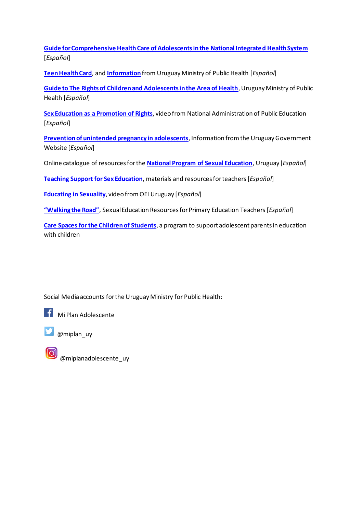**[Guide for Comprehensive Health Care of Adolescents in the National Integrated Health System](https://www.gub.uy/ministerio-salud-publica/sites/ministerio-salud-publica/files/inline-files/GuiaSalusAd_web%20con%20tapa.pdf)** [*Español*]

**[Teen Health Card](https://www.gub.uy/ministerio-salud-publica/sites/ministerio-salud-publica/files/inline-files/Carne%20del%20adolescente_ultimo%20Junio%202018.pdf)**, and **[Information](https://www.gub.uy/ministerio-salud-publica/comunicacion/noticias/partir-de-octubre-los-adolescentes-dispondran-de-un-carne-de-salud-universal)** from Uruguay Ministry of Public Health [*Español*]

**[Guide to The Rights of Children and Adolescents in the Area of Health](https://www.gub.uy/ministerio-salud-publica/comunicacion/publicaciones/los-derechos-de-ninos-ninas-y-adolescentes-en-el-area-de-la-salud)**, Uruguay Ministry of Public Health [*Español*]

**[Sex Education as a Promotion of Rights](https://www.anep.edu.uy/codicen/ddhh/genero-sexualidad/educacion-sexual-promocion-derechos)**, video from National Administration of Public Education [*Español*]

**[Prevention of unintended pregnancy in adolescents](https://www.gub.uy/adolescencia)**, Information from the Uruguay Government Website [*Español*]

Online catalogue of resources for the **[National Program of Sexual Education](http://www.programaedusex.edu.uy/biblioteca/opac_css/)**, Uruguay [*Español*]

**[Teaching Support for Sex Education](http://www.ceip.edu.uy/IFS/index.php?option=com_content&view=category&layout=blog&id=13&Itemid=106)**, materials and resources for teachers [*Español*]

**[Educating in Sexuality](https://www.youtube.com/watch?v=oFmT9hBYM2Y&list=PL5dvZwFkeCUjm9GkDk1zh6v72uqQ7hra_)**, video from OEI Uruguay [*Español*]

**["Walking](http://legacy.flacso.org.ar/newsletter/intercambieis/04/haciendo-camino-acompanamiento-pedagogico-inicial-primaria.html) the Road"**, Sexual Education Resources for Primary Education Teachers [*Español*]

**[Care Spaces for the Children of Students](https://www.anep.edu.uy/codicen/ddhh/espacios-cuidados-hijos-estudiantes)**, a program to support adolescent parents in education with children

Social Media accounts for the Uruguay Ministry for Public Health:



Mi Plan Adolescente



@miplan\_uy

@miplanadolescente\_uy